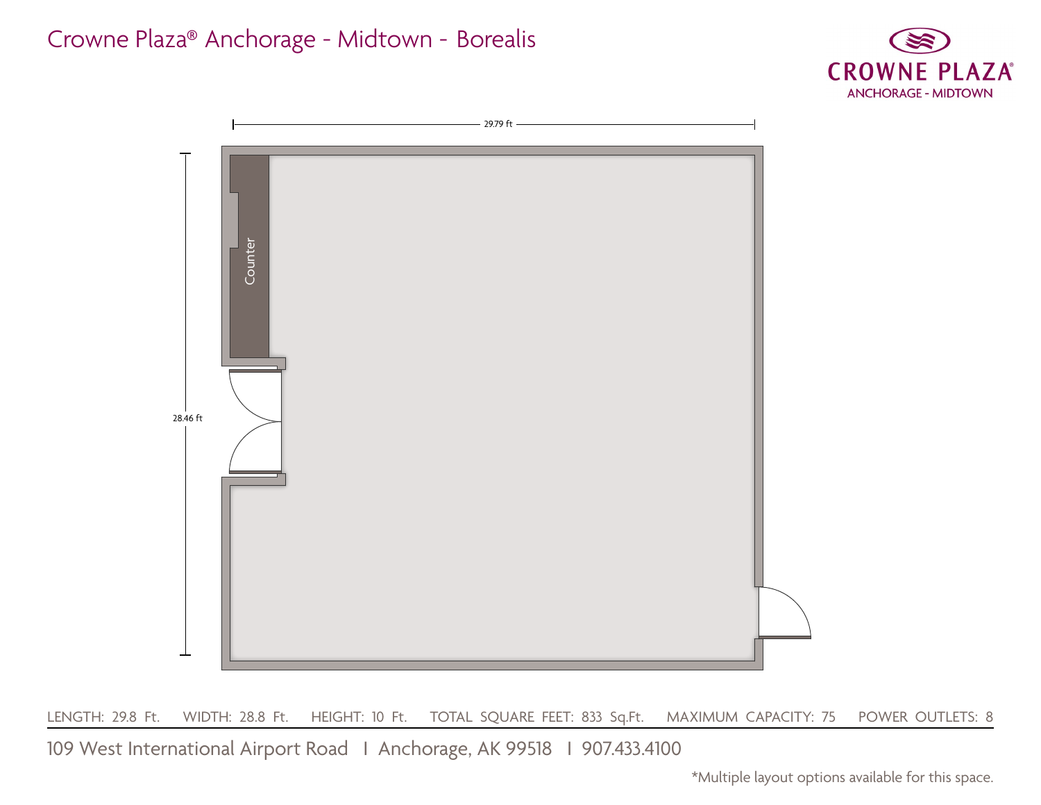## Crowne Plaza® Anchorage - Midtown - Borealis





LENGTH: 29.8 Ft. WIDTH: 28.8 Ft. HEIGHT: 10 Ft. TOTAL SQUARE FEET: 833 Sq.Ft. MAXIMUM CAPACITY: 75 POWER OUTLETS: 8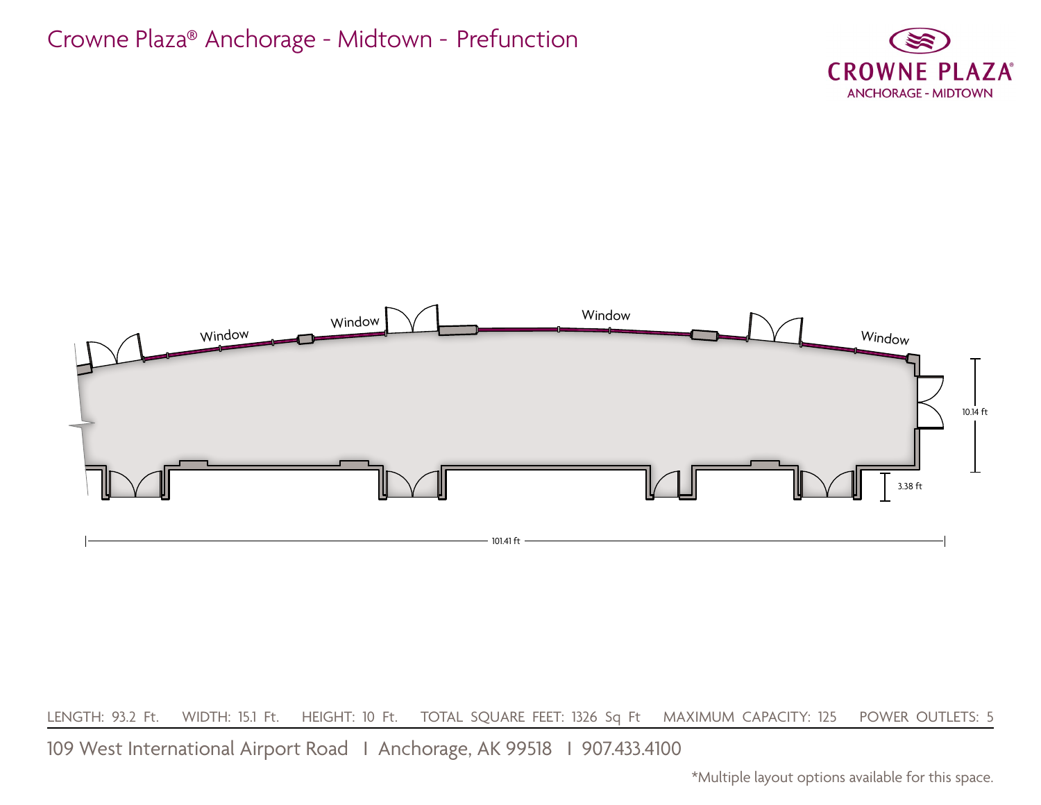## Crowne Plaza® Anchorage - Midtown - Prefunction





LENGTH: 93.2 Ft. WIDTH: 15.1 Ft. HEIGHT: 10 Ft. TOTAL SQUARE FEET: 1326 Sq Ft MAXIMUM CAPACITY: 125 POWER OUTLETS: 5

109 West International Airport Road I Anchorage, AK 99518 I 907.433.4100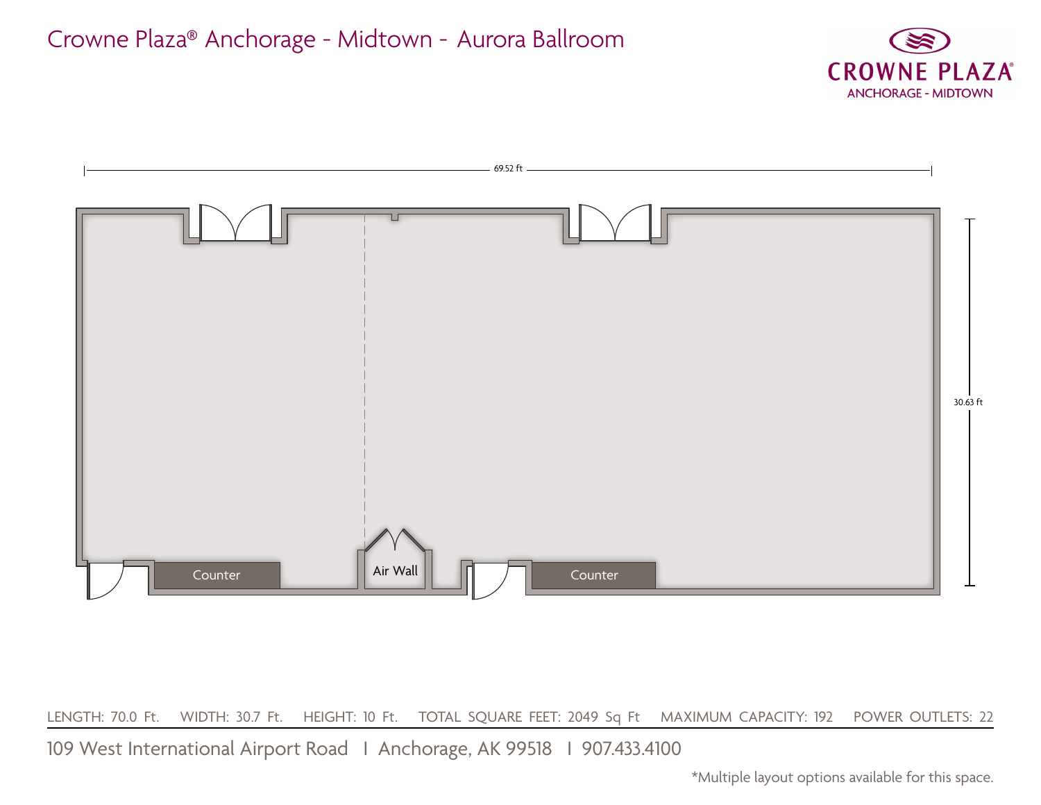



LENGTH: 70.0 Ft. WIDTH: 30.7 Ft. HEIGHT: 10 Ft. TOTAL SQUARE FEET: 2049 Sq Ft MAXIMUM CAPACITY: 192 POWER OUTLETS: 22

109 West International Airport Road I Anchorage, AK 99518 I 907.433.4100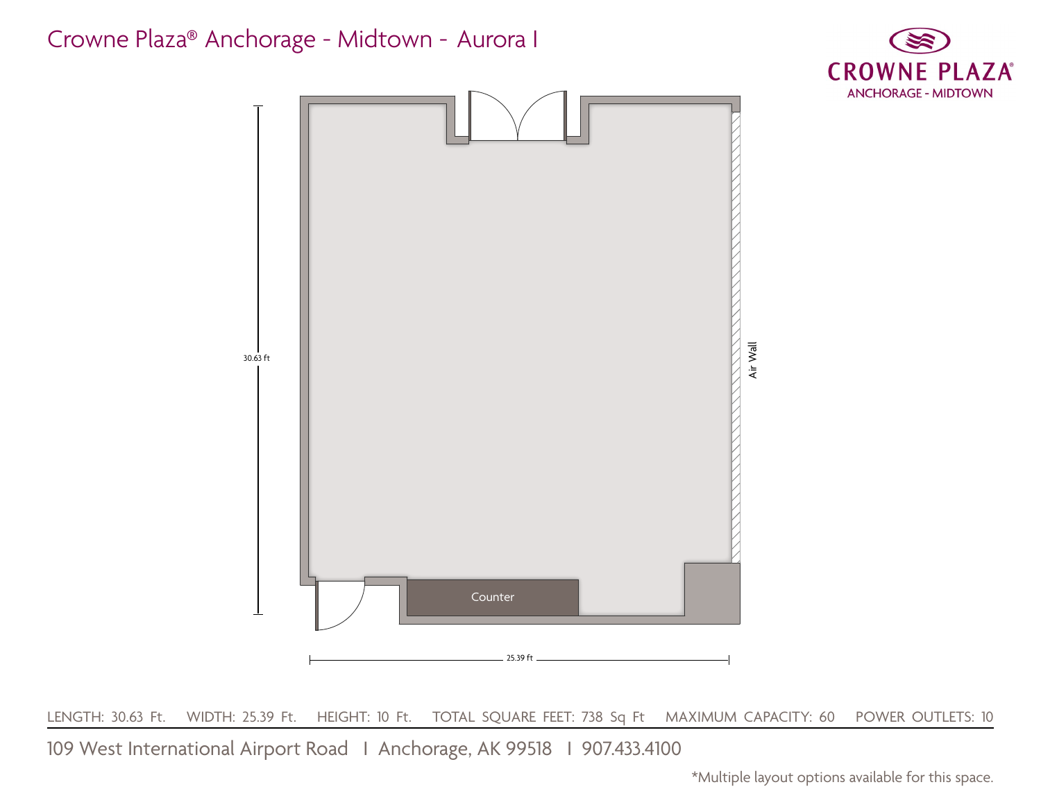

109 West International Airport Road I Anchorage, AK 99518 I 907.433.4100